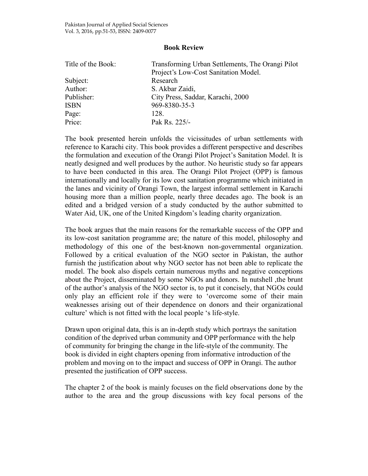## **Book Review**

| Title of the Book: | Transforming Urban Settlements, The Orangi Pilot |
|--------------------|--------------------------------------------------|
|                    | Project's Low-Cost Sanitation Model.             |
| Subject:           | Research                                         |
| Author:            | S. Akbar Zaidi,                                  |
| Publisher:         | City Press, Saddar, Karachi, 2000                |
| <b>ISBN</b>        | 969-8380-35-3                                    |
| Page:              | 128.                                             |
| Price:             | Pak Rs. 225/-                                    |

The book presented herein unfolds the vicissitudes of urban settlements with reference to Karachi city. This book provides a different perspective and describes the formulation and execution of the Orangi Pilot Project's Sanitation Model. It is neatly designed and well produces by the author. No heuristic study so far appears to have been conducted in this area. The Orangi Pilot Project (OPP) is famous internationally and locally for its low cost sanitation programme which initiated in the lanes and vicinity of Orangi Town, the largest informal settlement in Karachi housing more than a million people, nearly three decades ago. The book is an edited and a bridged version of a study conducted by the author submitted to Water Aid, UK, one of the United Kingdom's leading charity organization.

The book argues that the main reasons for the remarkable success of the OPP and its low-cost sanitation programme are; the nature of this model, philosophy and methodology of this one of the best-known non-governmental organization. Followed by a critical evaluation of the NGO sector in Pakistan, the author furnish the justification about why NGO sector has not been able to replicate the model. The book also dispels certain numerous myths and negative conceptions about the Project, disseminated by some NGOs and donors. In nutshell ,the brunt of the author's analysis of the NGO sector is, to put it concisely, that NGOs could only play an efficient role if they were to 'overcome some of their main weaknesses arising out of their dependence on donors and their organizational culture' which is not fitted with the local people 's life-style.

Drawn upon original data, this is an in-depth study which portrays the sanitation condition of the deprived urban community and OPP performance with the help of community for bringing the change in the life-style of the community. The book is divided in eight chapters opening from informative introduction of the problem and moving on to the impact and success of OPP in Orangi. The author presented the justification of OPP success.

The chapter 2 of the book is mainly focuses on the field observations done by the author to the area and the group discussions with key focal persons of the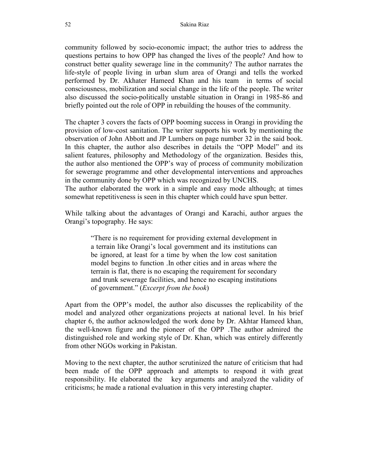community followed by socio-economic impact; the author tries to address the questions pertains to how OPP has changed the lives of the people? And how to construct better quality sewerage line in the community? The author narrates the life-style of people living in urban slum area of Orangi and tells the worked performed by Dr. Akhater Hameed Khan and his team in terms of social consciousness, mobilization and social change in the life of the people. The writer also discussed the socio-politically unstable situation in Orangi in 1985-86 and briefly pointed out the role of OPP in rebuilding the houses of the community.

The chapter 3 covers the facts of OPP booming success in Orangi in providing the provision of low-cost sanitation. The writer supports his work by mentioning the observation of John Abbott and JP Lumbers on page number 32 in the said book. In this chapter, the author also describes in details the "OPP Model" and its salient features, philosophy and Methodology of the organization. Besides this, the author also mentioned the OPP's way of process of community mobilization for sewerage programme and other developmental interventions and approaches in the community done by OPP which was recognized by UNCHS.

The author elaborated the work in a simple and easy mode although; at times somewhat repetitiveness is seen in this chapter which could have spun better.

While talking about the advantages of Orangi and Karachi, author argues the Orangi's topography. He says:

> "There is no requirement for providing external development in a terrain like Orangi's local government and its institutions can be ignored, at least for a time by when the low cost sanitation model begins to function .In other cities and in areas where the terrain is flat, there is no escaping the requirement for secondary and trunk sewerage facilities, and hence no escaping institutions of government." (*Excerpt from the book*)

Apart from the OPP's model, the author also discusses the replicability of the model and analyzed other organizations projects at national level. In his brief chapter 6, the author acknowledged the work done by Dr. Akhtar Hameed khan, the well-known figure and the pioneer of the OPP .The author admired the distinguished role and working style of Dr. Khan, which was entirely differently from other NGOs working in Pakistan.

Moving to the next chapter, the author scrutinized the nature of criticism that had been made of the OPP approach and attempts to respond it with great responsibility. He elaborated the key arguments and analyzed the validity of criticisms; he made a rational evaluation in this very interesting chapter.